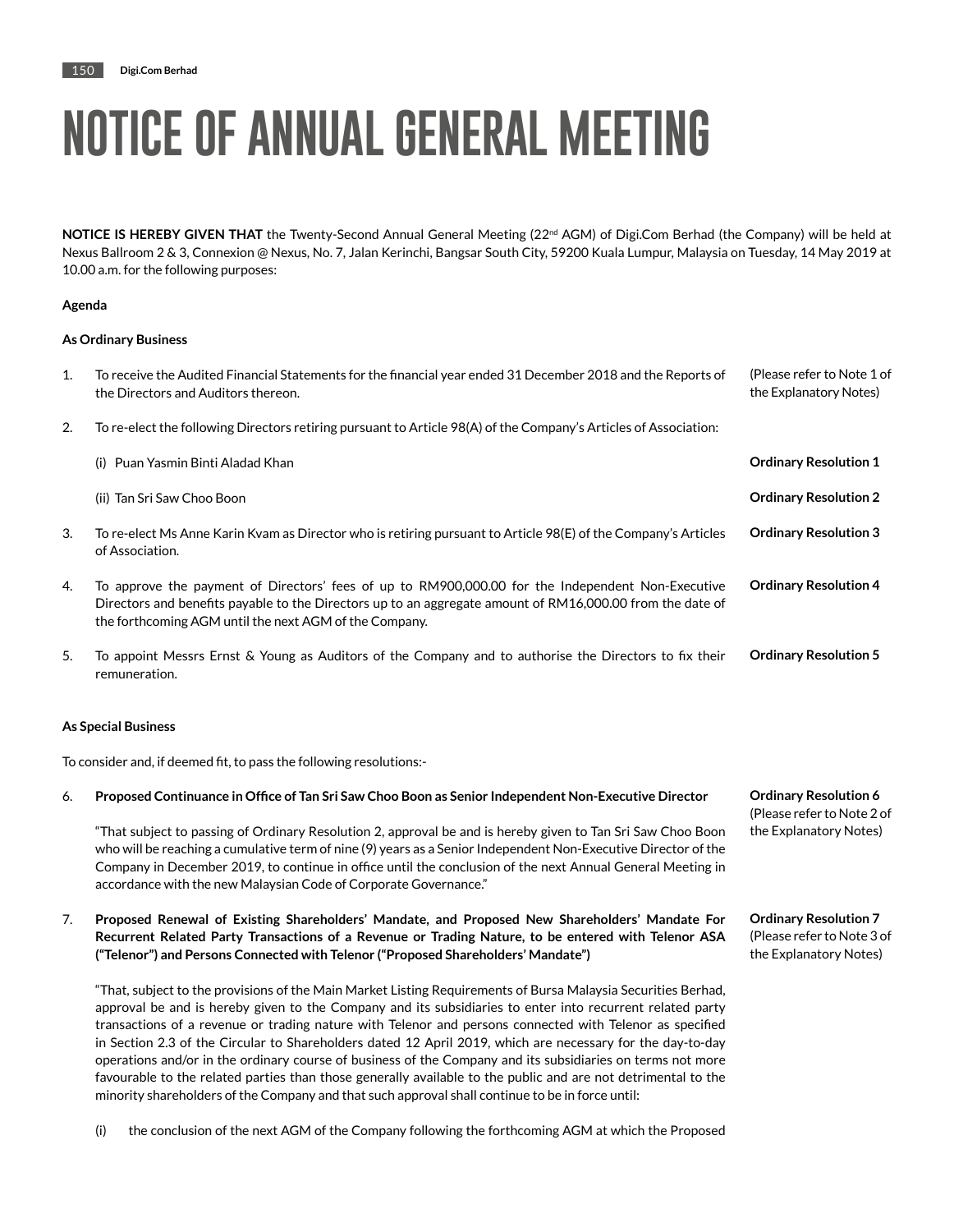**NOTICE IS HEREBY GIVEN THAT** the Twenty-Second Annual General Meeting (22<sup>nd</sup> AGM) of Digi.Com Berhad (the Company) will be held at Nexus Ballroom 2 & 3, Connexion @ Nexus, No. 7, Jalan Kerinchi, Bangsar South City, 59200 Kuala Lumpur, Malaysia on Tuesday, 14 May 2019 at 10.00 a.m. for the following purposes:

### **Agenda**

### **As Ordinary Business**

| $\mathbf{1}$ . | To receive the Audited Financial Statements for the financial year ended 31 December 2018 and the Reports of<br>the Directors and Auditors thereon.                                                                                                                      | (Please refer to Note 1 of<br>the Explanatory Notes) |
|----------------|--------------------------------------------------------------------------------------------------------------------------------------------------------------------------------------------------------------------------------------------------------------------------|------------------------------------------------------|
| 2.             | To re-elect the following Directors retiring pursuant to Article 98(A) of the Company's Articles of Association:                                                                                                                                                         |                                                      |
|                | - Puan Yasmin Binti Aladad Khan<br>(i)                                                                                                                                                                                                                                   | <b>Ordinary Resolution 1</b>                         |
|                | (ii) Tan Sri Saw Choo Boon                                                                                                                                                                                                                                               | <b>Ordinary Resolution 2</b>                         |
| 3.             | To re-elect Ms Anne Karin Kvam as Director who is retiring pursuant to Article 98(E) of the Company's Articles<br>of Association.                                                                                                                                        | <b>Ordinary Resolution 3</b>                         |
| 4.             | To approve the payment of Directors' fees of up to RM900,000.00 for the Independent Non-Executive<br>Directors and benefits payable to the Directors up to an aggregate amount of RM16,000.00 from the date of<br>the forthcoming AGM until the next AGM of the Company. | <b>Ordinary Resolution 4</b>                         |
| 5.             | To appoint Messrs Ernst & Young as Auditors of the Company and to authorise the Directors to fix their<br>remuneration.                                                                                                                                                  | <b>Ordinary Resolution 5</b>                         |

#### **As Special Business**

To consider and, if deemed fit, to pass the following resolutions:-

accordance with the new Malaysian Code of Corporate Governance."

| 6. | Proposed Continuance in Office of Tan Sri Saw Choo Boon as Senior Independent Non-Executive Director           | <b>Ordinary Resolution 6</b> |
|----|----------------------------------------------------------------------------------------------------------------|------------------------------|
|    |                                                                                                                | (Please refer to Note 2 of   |
|    | "That subject to passing of Ordinary Resolution 2, approval be and is hereby given to Tan Sri Saw Choo Boon    | the Explanatory Notes)       |
|    | who will be reaching a cumulative term of nine (9) years as a Senior Independent Non-Executive Director of the |                              |
|    | Company in December 2019, to continue in office until the conclusion of the next Annual General Meeting in     |                              |

**Ordinary Resolution 7** (Please refer to Note 3 of the Explanatory Notes)

7. **Proposed Renewal of Existing Shareholders' Mandate, and Proposed New Shareholders' Mandate For Recurrent Related Party Transactions of a Revenue or Trading Nature, to be entered with Telenor ASA ("Telenor") and Persons Connected with Telenor ("Proposed Shareholders' Mandate")**

"That, subject to the provisions of the Main Market Listing Requirements of Bursa Malaysia Securities Berhad, approval be and is hereby given to the Company and its subsidiaries to enter into recurrent related party transactions of a revenue or trading nature with Telenor and persons connected with Telenor as specified in Section 2.3 of the Circular to Shareholders dated 12 April 2019, which are necessary for the day-to-day operations and/or in the ordinary course of business of the Company and its subsidiaries on terms not more favourable to the related parties than those generally available to the public and are not detrimental to the minority shareholders of the Company and that such approval shall continue to be in force until:

(i) the conclusion of the next AGM of the Company following the forthcoming AGM at which the Proposed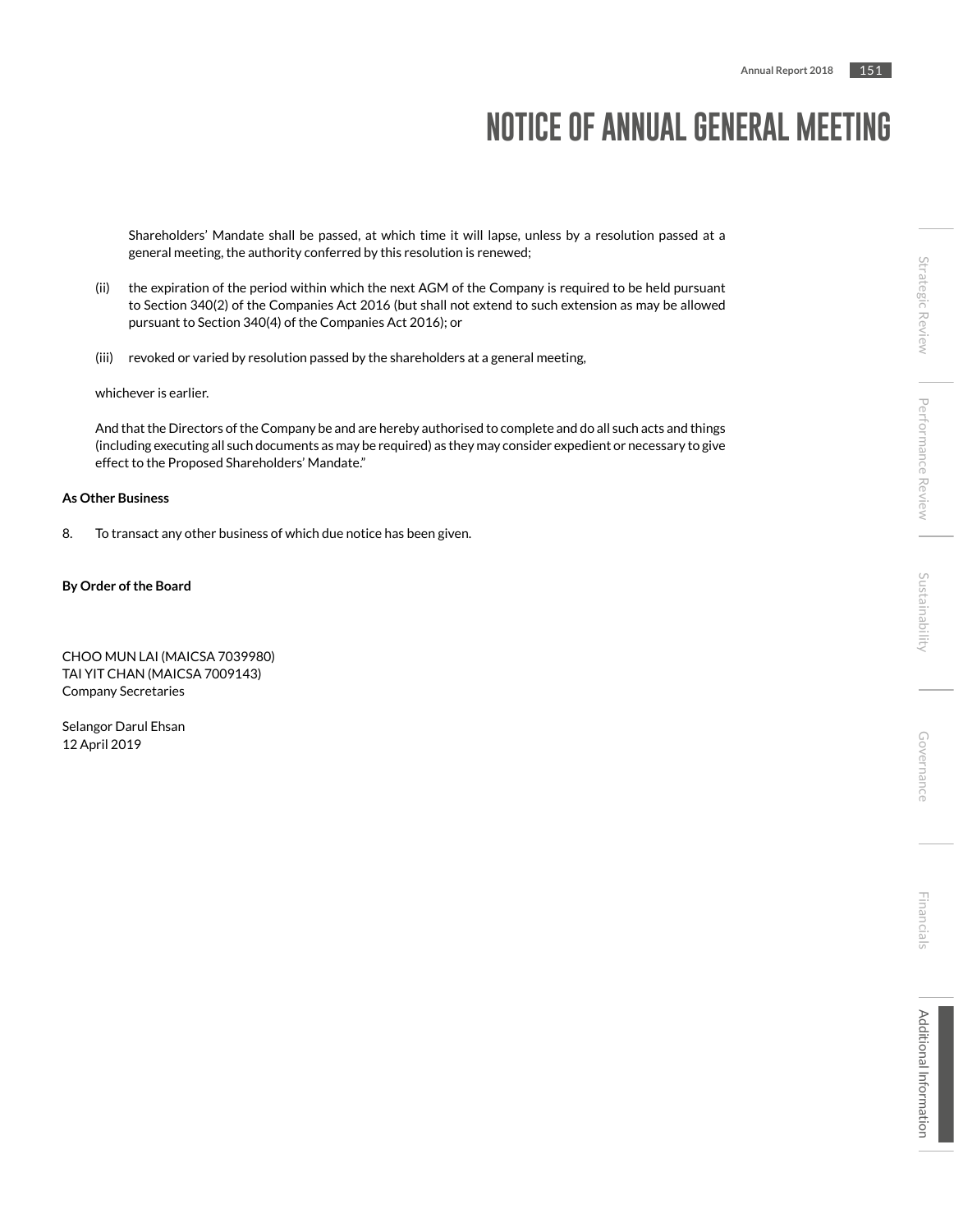Shareholders' Mandate shall be passed, at which time it will lapse, unless by a resolution passed at a general meeting, the authority conferred by this resolution is renewed;

- (ii) the expiration of the period within which the next AGM of the Company is required to be held pursuant to Section 340(2) of the Companies Act 2016 (but shall not extend to such extension as may be allowed pursuant to Section 340(4) of the Companies Act 2016); or
- (iii) revoked or varied by resolution passed by the shareholders at a general meeting,

whichever is earlier.

And that the Directors of the Company be and are hereby authorised to complete and do all such acts and things (including executing all such documents as may be required) as they may consider expedient or necessary to give effect to the Proposed Shareholders' Mandate."

### **As Other Business**

8. To transact any other business of which due notice has been given.

### **By Order of the Board**

CHOO MUN LAI (MAICSA 7039980) TAI YIT CHAN (MAICSA 7009143) Company Secretaries

Selangor Darul Ehsan 12 April 2019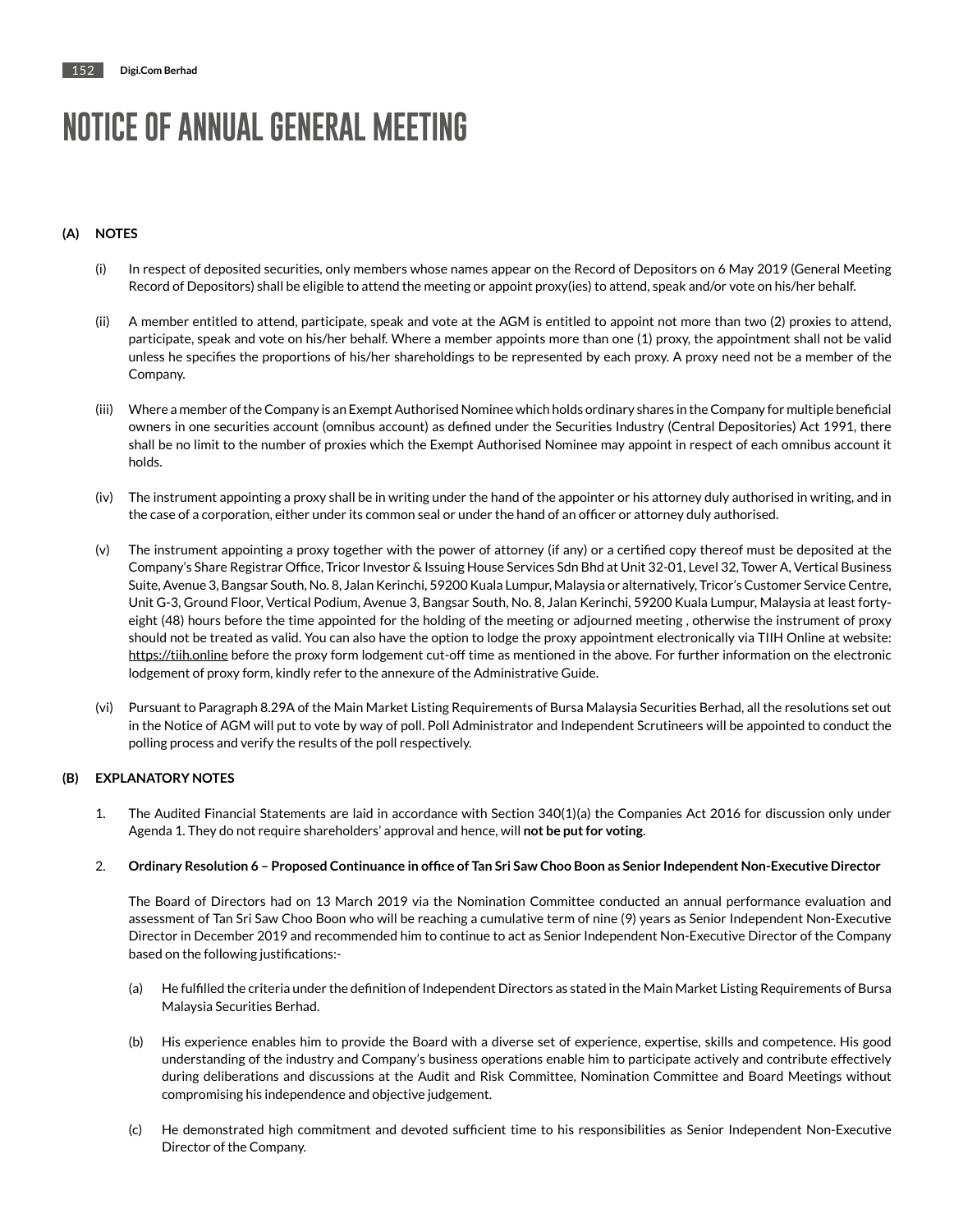## **(A) NOTES**

- (i) In respect of deposited securities, only members whose names appear on the Record of Depositors on 6 May 2019 (General Meeting Record of Depositors) shall be eligible to attend the meeting or appoint proxy(ies) to attend, speak and/or vote on his/her behalf.
- (ii) A member entitled to attend, participate, speak and vote at the AGM is entitled to appoint not more than two (2) proxies to attend, participate, speak and vote on his/her behalf. Where a member appoints more than one (1) proxy, the appointment shall not be valid unless he specifies the proportions of his/her shareholdings to be represented by each proxy. A proxy need not be a member of the Company.
- (iii) Where a member of the Company is an Exempt Authorised Nominee which holds ordinary shares in the Company for multiple beneficial owners in one securities account (omnibus account) as defined under the Securities Industry (Central Depositories) Act 1991, there shall be no limit to the number of proxies which the Exempt Authorised Nominee may appoint in respect of each omnibus account it holds.
- (iv) The instrument appointing a proxy shall be in writing under the hand of the appointer or his attorney duly authorised in writing, and in the case of a corporation, either under its common seal or under the hand of an officer or attorney duly authorised.
- (v) The instrument appointing a proxy together with the power of attorney (if any) or a certified copy thereof must be deposited at the Company's Share Registrar Office, Tricor Investor & Issuing House Services Sdn Bhd at Unit 32-01, Level 32, Tower A, Vertical Business Suite, Avenue 3, Bangsar South, No. 8, Jalan Kerinchi, 59200 Kuala Lumpur, Malaysia or alternatively, Tricor's Customer Service Centre, Unit G-3, Ground Floor, Vertical Podium, Avenue 3, Bangsar South, No. 8, Jalan Kerinchi, 59200 Kuala Lumpur, Malaysia at least fortyeight (48) hours before the time appointed for the holding of the meeting or adjourned meeting , otherwise the instrument of proxy should not be treated as valid. You can also have the option to lodge the proxy appointment electronically via TIIH Online at website: https://tiih.online before the proxy form lodgement cut-off time as mentioned in the above. For further information on the electronic lodgement of proxy form, kindly refer to the annexure of the Administrative Guide.
- (vi) Pursuant to Paragraph 8.29A of the Main Market Listing Requirements of Bursa Malaysia Securities Berhad, all the resolutions set out in the Notice of AGM will put to vote by way of poll. Poll Administrator and Independent Scrutineers will be appointed to conduct the polling process and verify the results of the poll respectively.

### **(B) EXPLANATORY NOTES**

1. The Audited Financial Statements are laid in accordance with Section 340(1)(a) the Companies Act 2016 for discussion only under Agenda 1. They do not require shareholders' approval and hence, will **not be put for voting**.

#### 2. **Ordinary Resolution 6 – Proposed Continuance in office of Tan Sri Saw Choo Boon as Senior Independent Non-Executive Director**

The Board of Directors had on 13 March 2019 via the Nomination Committee conducted an annual performance evaluation and assessment of Tan Sri Saw Choo Boon who will be reaching a cumulative term of nine (9) years as Senior Independent Non-Executive Director in December 2019 and recommended him to continue to act as Senior Independent Non-Executive Director of the Company based on the following justifications:-

- (a) He fulfilled the criteria under the definition of Independent Directors as stated in the Main Market Listing Requirements of Bursa Malaysia Securities Berhad.
- (b) His experience enables him to provide the Board with a diverse set of experience, expertise, skills and competence. His good understanding of the industry and Company's business operations enable him to participate actively and contribute effectively during deliberations and discussions at the Audit and Risk Committee, Nomination Committee and Board Meetings without compromising his independence and objective judgement.
- (c) He demonstrated high commitment and devoted sufficient time to his responsibilities as Senior Independent Non-Executive Director of the Company.